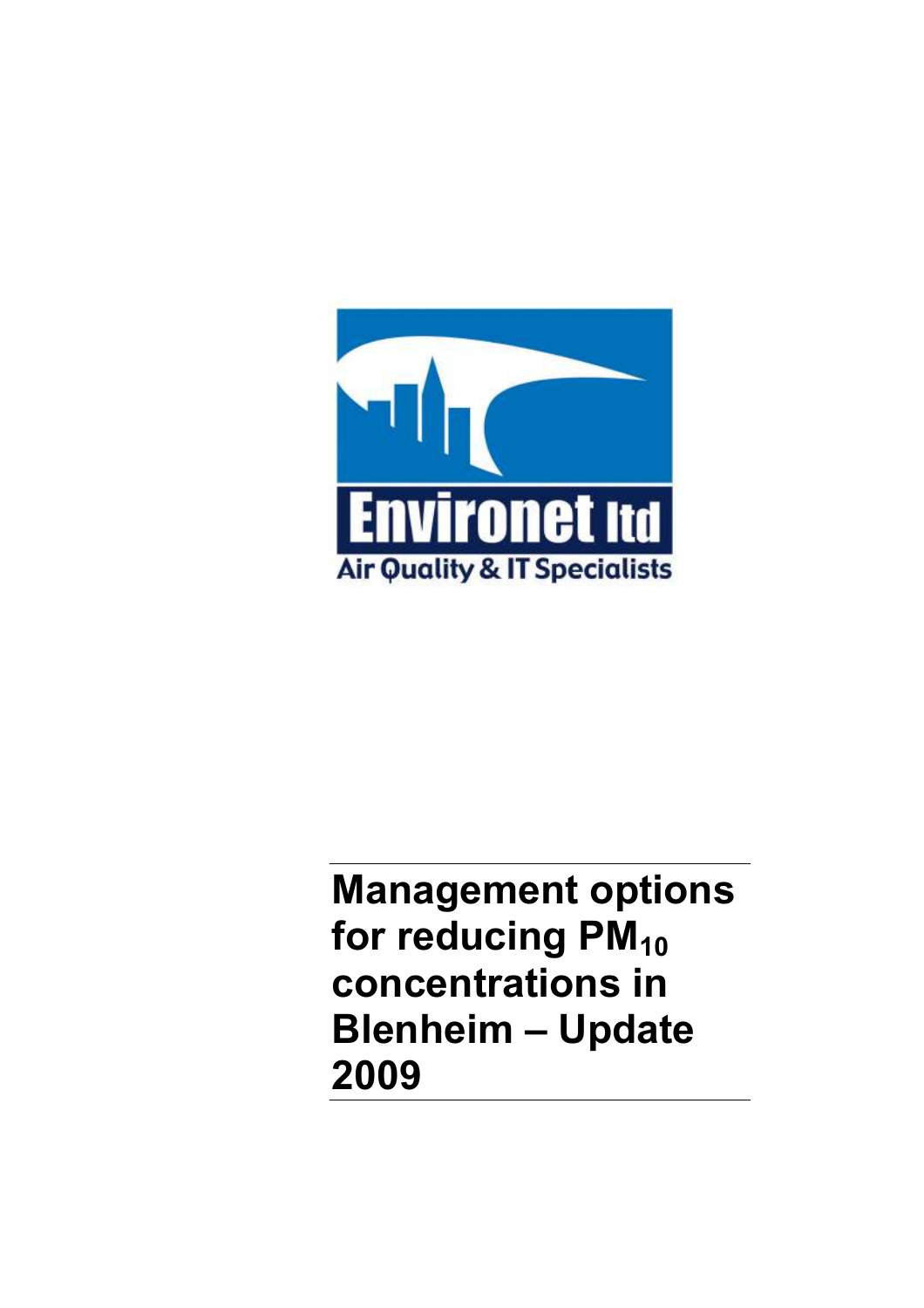

Management options for reducing PM<sub>10</sub> concentrations in Blenheim – Update 2009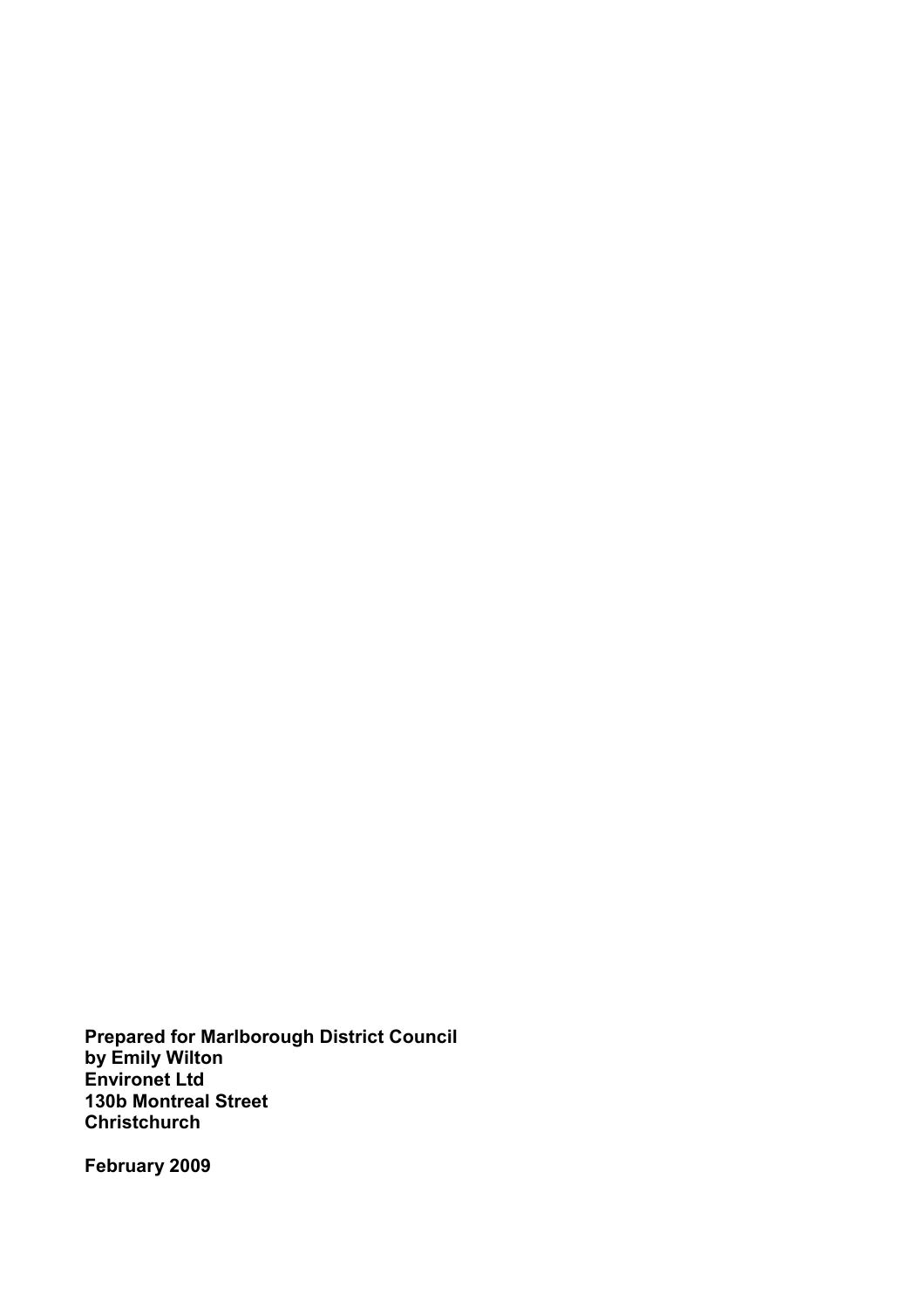Prepared for Marlborough District Council by Emily Wilton Environet Ltd 130b Montreal Street **Christchurch** 

February 2009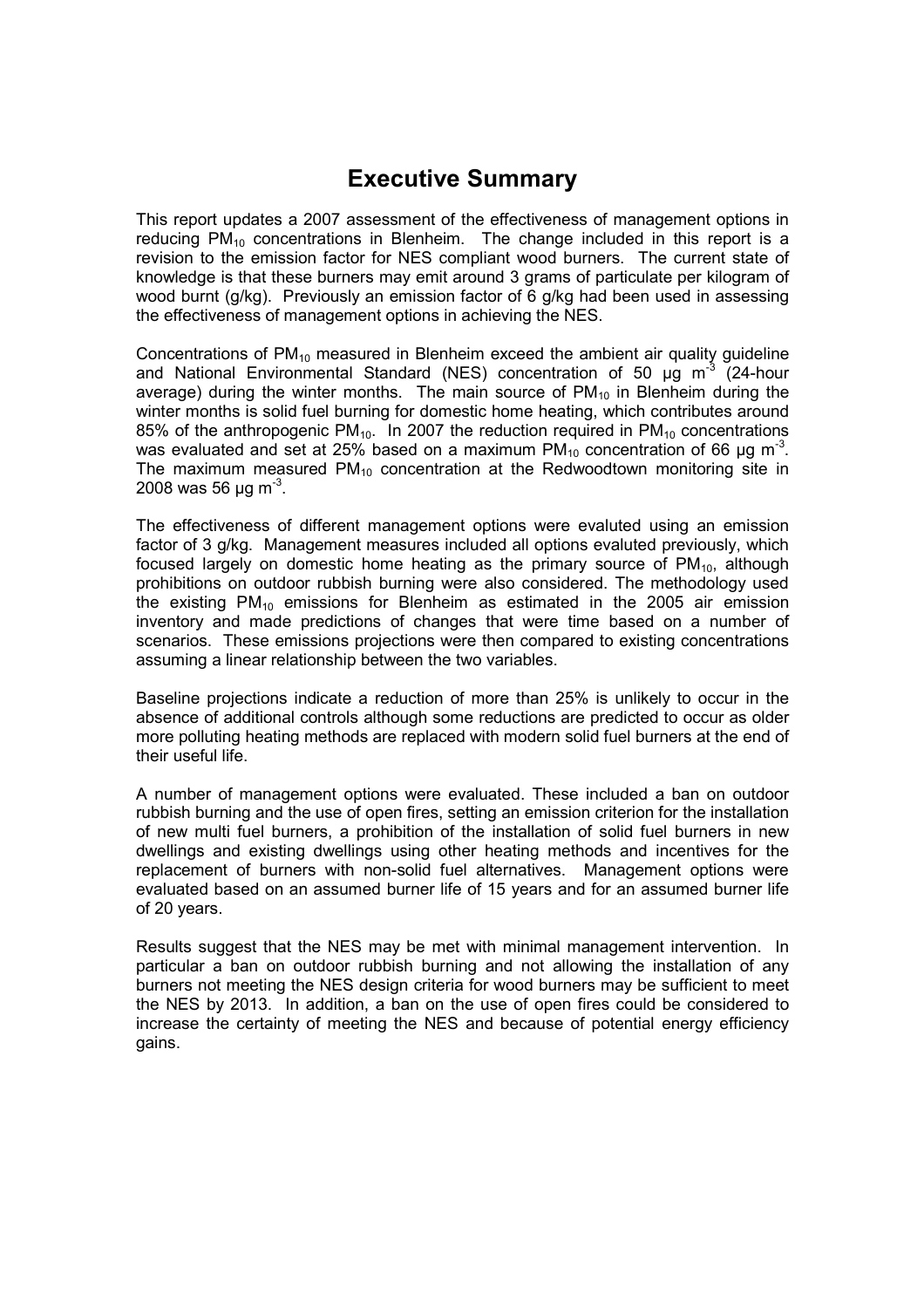## Executive Summary

This report updates a 2007 assessment of the effectiveness of management options in reducing  $PM_{10}$  concentrations in Blenheim. The change included in this report is a revision to the emission factor for NES compliant wood burners. The current state of knowledge is that these burners may emit around 3 grams of particulate per kilogram of wood burnt (g/kg). Previously an emission factor of 6 g/kg had been used in assessing the effectiveness of management options in achieving the NES.

Concentrations of  $PM_{10}$  measured in Blenheim exceed the ambient air quality guideline and National Environmental Standard (NES) concentration of 50  $\mu$ g m<sup>-3</sup> (24-hour average) during the winter months. The main source of  $PM_{10}$  in Blenheim during the winter months is solid fuel burning for domestic home heating, which contributes around 85% of the anthropogenic PM<sub>10</sub>. In 2007 the reduction required in PM<sub>10</sub> concentrations was evaluated and set at 25% based on a maximum PM<sub>10</sub> concentration of 66 µg m<sup>-3</sup>. The maximum measured  $PM_{10}$  concentration at the Redwoodtown monitoring site in 2008 was 56 µg m<sup>-3</sup>.

The effectiveness of different management options were evaluted using an emission factor of 3 g/kg. Management measures included all options evaluted previously, which focused largely on domestic home heating as the primary source of  $PM_{10}$ , although prohibitions on outdoor rubbish burning were also considered. The methodology used the existing  $PM_{10}$  emissions for Blenheim as estimated in the 2005 air emission inventory and made predictions of changes that were time based on a number of scenarios. These emissions projections were then compared to existing concentrations assuming a linear relationship between the two variables.

Baseline projections indicate a reduction of more than 25% is unlikely to occur in the absence of additional controls although some reductions are predicted to occur as older more polluting heating methods are replaced with modern solid fuel burners at the end of their useful life.

A number of management options were evaluated. These included a ban on outdoor rubbish burning and the use of open fires, setting an emission criterion for the installation of new multi fuel burners, a prohibition of the installation of solid fuel burners in new dwellings and existing dwellings using other heating methods and incentives for the replacement of burners with non-solid fuel alternatives. Management options were evaluated based on an assumed burner life of 15 years and for an assumed burner life of 20 years.

Results suggest that the NES may be met with minimal management intervention. In particular a ban on outdoor rubbish burning and not allowing the installation of any burners not meeting the NES design criteria for wood burners may be sufficient to meet the NES by 2013. In addition, a ban on the use of open fires could be considered to increase the certainty of meeting the NES and because of potential energy efficiency gains.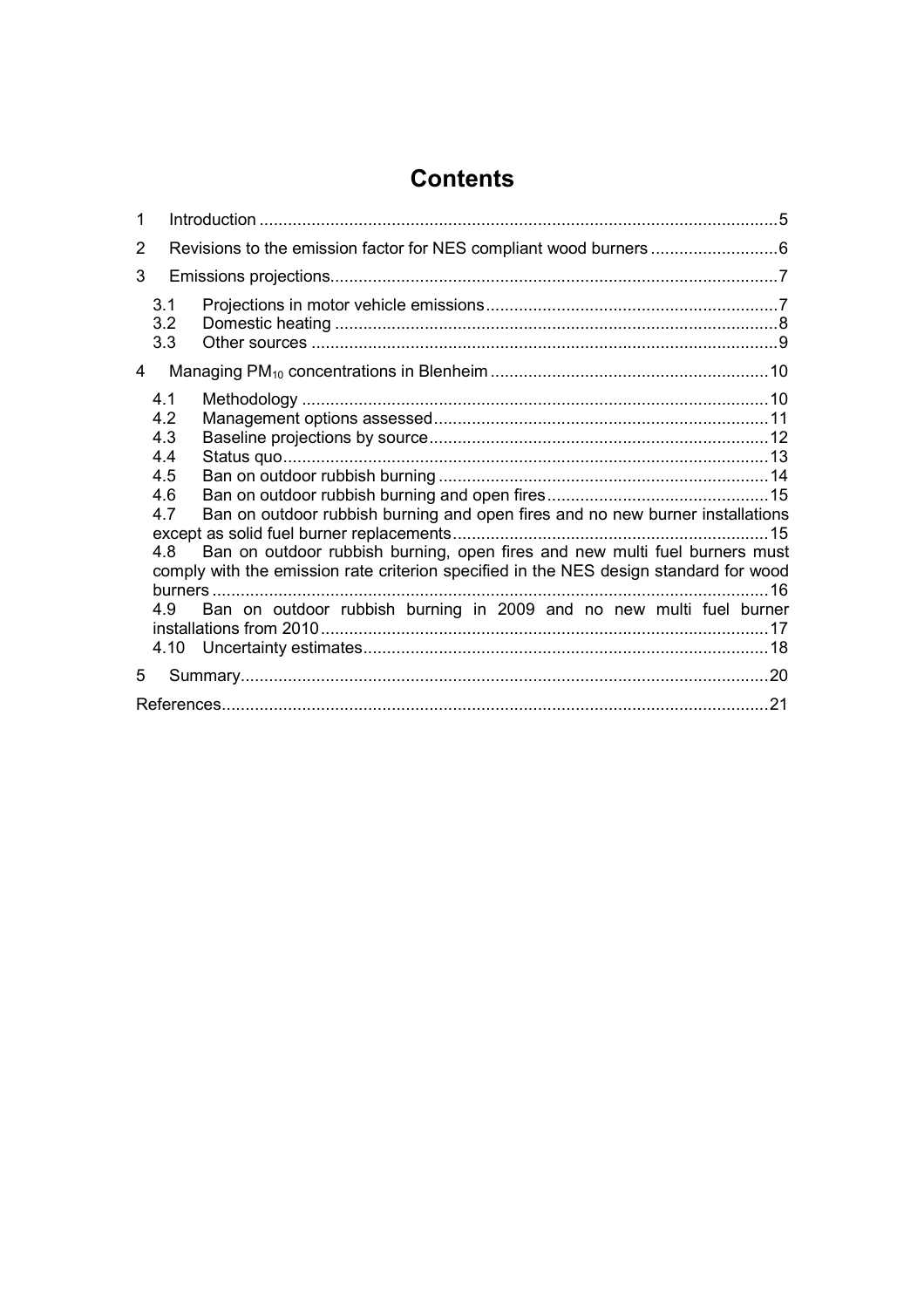# **Contents**

| $\mathbf{1}$   |                                                            |                                                                                                                                                                                                                                                                                                                             |  |  |
|----------------|------------------------------------------------------------|-----------------------------------------------------------------------------------------------------------------------------------------------------------------------------------------------------------------------------------------------------------------------------------------------------------------------------|--|--|
| $\overline{2}$ |                                                            |                                                                                                                                                                                                                                                                                                                             |  |  |
| 3              |                                                            |                                                                                                                                                                                                                                                                                                                             |  |  |
|                | 3.1<br>3.2<br>3.3                                          |                                                                                                                                                                                                                                                                                                                             |  |  |
| 4              |                                                            |                                                                                                                                                                                                                                                                                                                             |  |  |
|                | 4.1<br>4.2<br>4.3<br>4.4<br>4.5<br>4.6<br>4.7<br>4.8<br>49 | Ban on outdoor rubbish burning and open fires and no new burner installations<br>Ban on outdoor rubbish burning, open fires and new multi fuel burners must<br>comply with the emission rate criterion specified in the NES design standard for wood<br>Ban on outdoor rubbish burning in 2009 and no new multi fuel burner |  |  |
| 5              |                                                            |                                                                                                                                                                                                                                                                                                                             |  |  |
|                |                                                            |                                                                                                                                                                                                                                                                                                                             |  |  |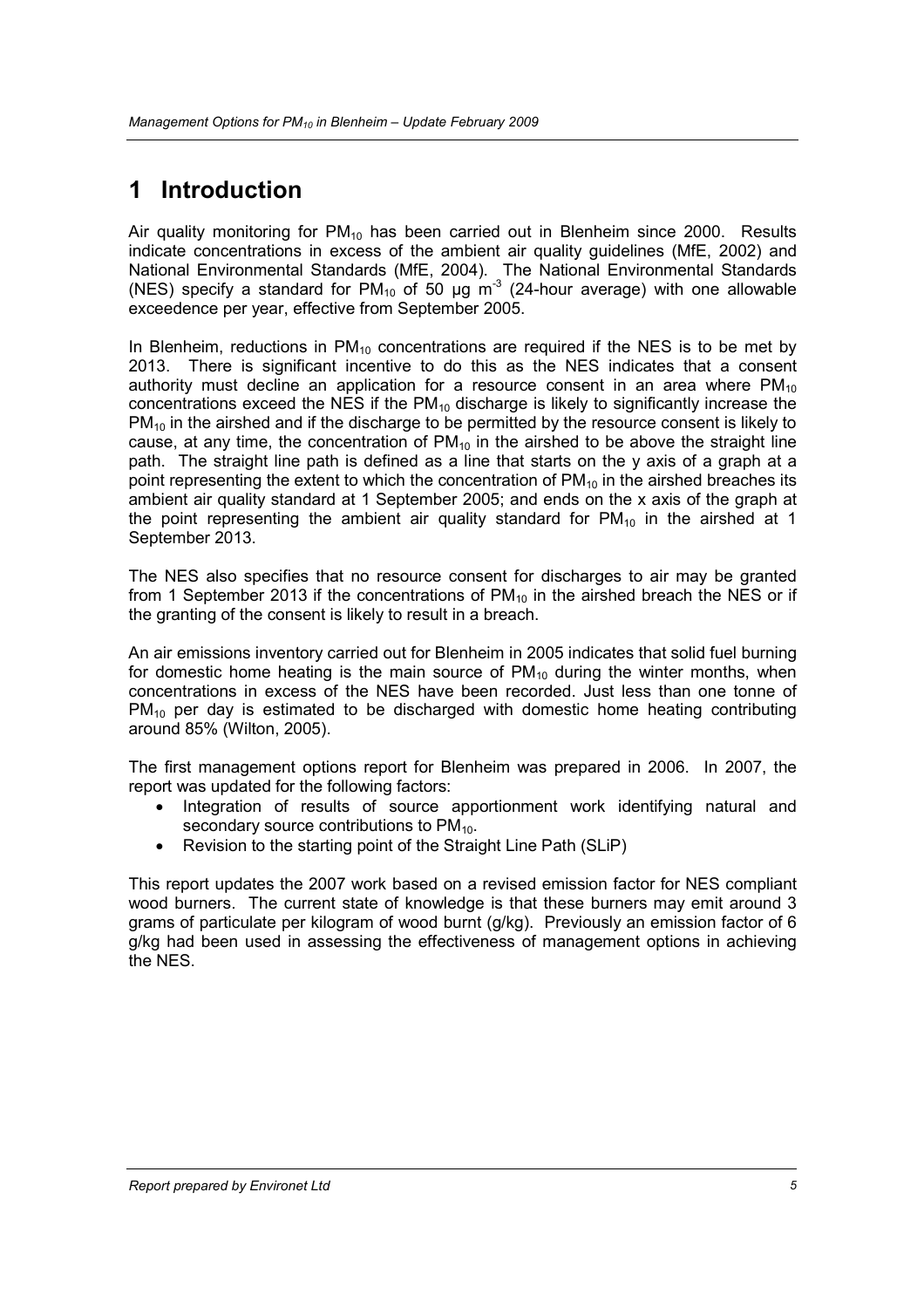# 1 Introduction

Air quality monitoring for  $PM_{10}$  has been carried out in Blenheim since 2000. Results indicate concentrations in excess of the ambient air quality guidelines (MfE, 2002) and National Environmental Standards (MfE, 2004). The National Environmental Standards (NES) specify a standard for PM<sub>10</sub> of 50 µg m<sup>-3</sup> (24-hour average) with one allowable exceedence per year, effective from September 2005.

In Blenheim, reductions in  $PM_{10}$  concentrations are required if the NES is to be met by 2013. There is significant incentive to do this as the NES indicates that a consent authority must decline an application for a resource consent in an area where  $PM_{10}$ concentrations exceed the NES if the  $PM_{10}$  discharge is likely to significantly increase the  $PM_{10}$  in the airshed and if the discharge to be permitted by the resource consent is likely to cause, at any time, the concentration of  $PM_{10}$  in the airshed to be above the straight line path. The straight line path is defined as a line that starts on the y axis of a graph at a point representing the extent to which the concentration of  $PM_{10}$  in the airshed breaches its ambient air quality standard at 1 September 2005; and ends on the x axis of the graph at the point representing the ambient air quality standard for  $PM_{10}$  in the airshed at 1 September 2013.

The NES also specifies that no resource consent for discharges to air may be granted from 1 September 2013 if the concentrations of  $PM_{10}$  in the airshed breach the NES or if the granting of the consent is likely to result in a breach.

An air emissions inventory carried out for Blenheim in 2005 indicates that solid fuel burning for domestic home heating is the main source of  $PM_{10}$  during the winter months, when concentrations in excess of the NES have been recorded. Just less than one tonne of  $PM_{10}$  per day is estimated to be discharged with domestic home heating contributing around 85% (Wilton, 2005).

The first management options report for Blenheim was prepared in 2006. In 2007, the report was updated for the following factors:

- Integration of results of source apportionment work identifying natural and secondary source contributions to PM<sub>10</sub>.
- Revision to the starting point of the Straight Line Path (SLiP)

This report updates the 2007 work based on a revised emission factor for NES compliant wood burners. The current state of knowledge is that these burners may emit around 3 grams of particulate per kilogram of wood burnt (g/kg). Previously an emission factor of 6 g/kg had been used in assessing the effectiveness of management options in achieving the NES.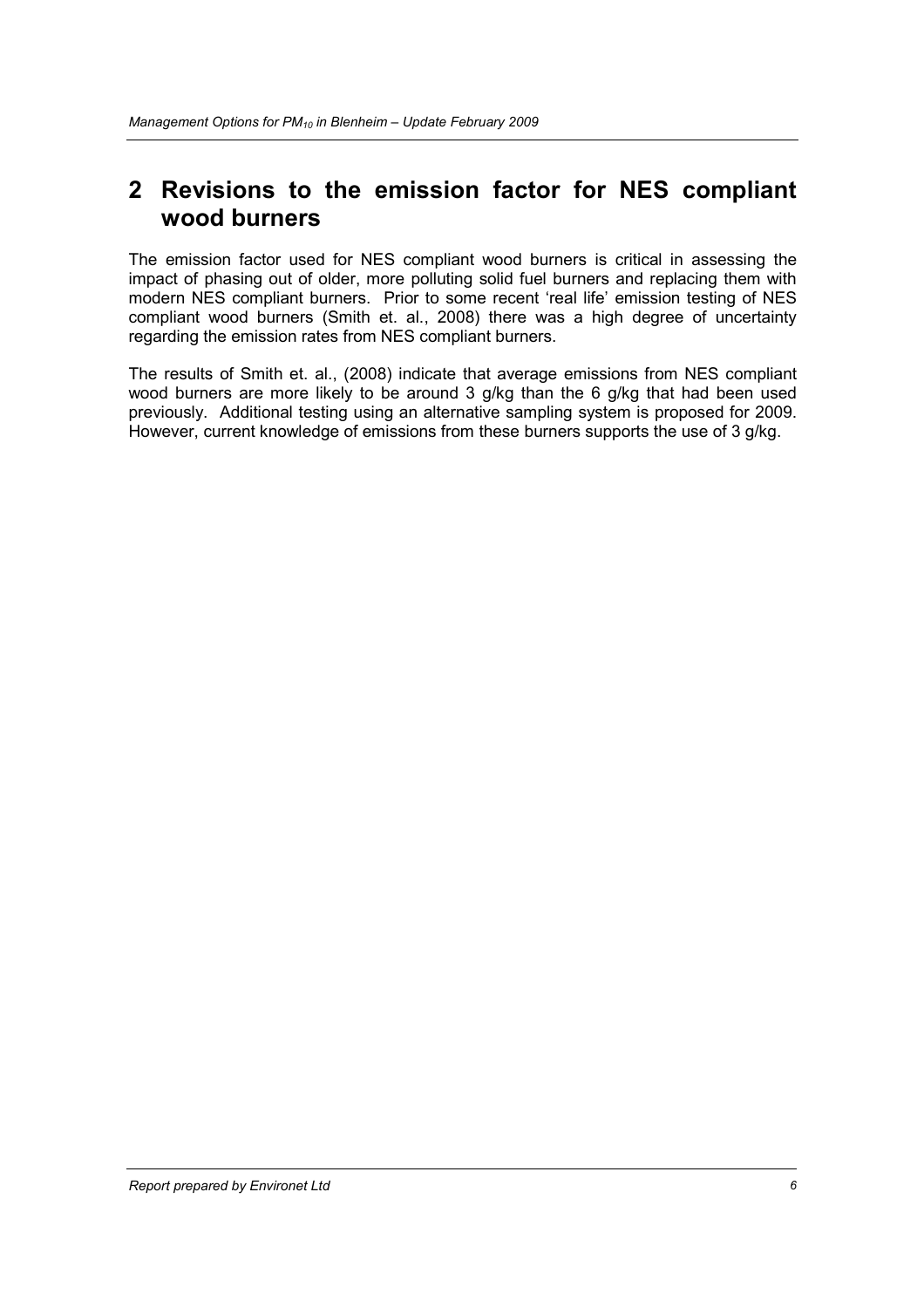# 2 Revisions to the emission factor for NES compliant wood burners

The emission factor used for NES compliant wood burners is critical in assessing the impact of phasing out of older, more polluting solid fuel burners and replacing them with modern NES compliant burners. Prior to some recent 'real life' emission testing of NES compliant wood burners (Smith et. al., 2008) there was a high degree of uncertainty regarding the emission rates from NES compliant burners.

The results of Smith et. al., (2008) indicate that average emissions from NES compliant wood burners are more likely to be around 3 g/kg than the 6 g/kg that had been used previously. Additional testing using an alternative sampling system is proposed for 2009. However, current knowledge of emissions from these burners supports the use of 3 g/kg.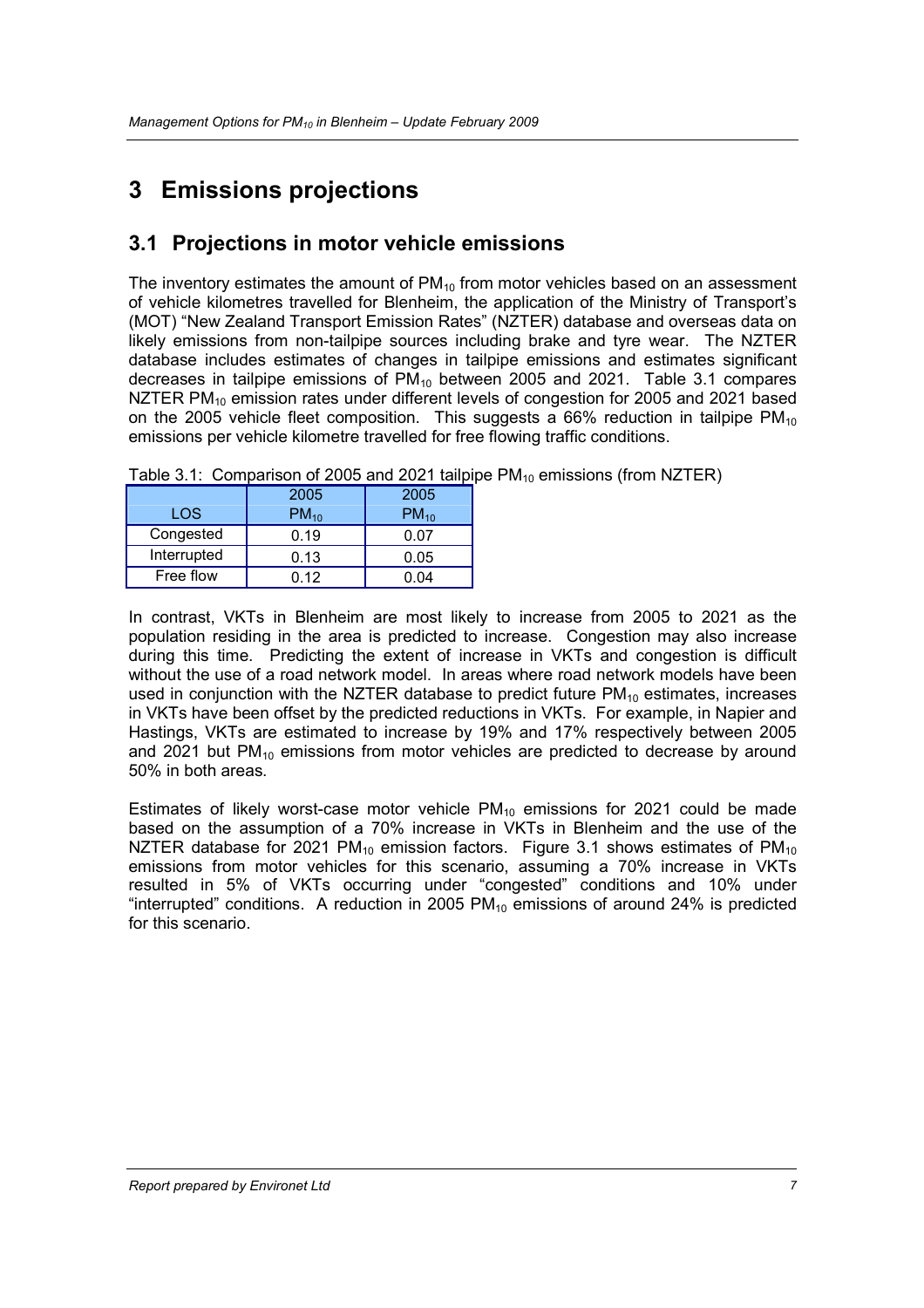# 3 Emissions projections

#### 3.1 Projections in motor vehicle emissions

The inventory estimates the amount of  $PM_{10}$  from motor vehicles based on an assessment of vehicle kilometres travelled for Blenheim, the application of the Ministry of Transport's (MOT) "New Zealand Transport Emission Rates" (NZTER) database and overseas data on likely emissions from non-tailpipe sources including brake and tyre wear. The NZTER database includes estimates of changes in tailpipe emissions and estimates significant decreases in tailpipe emissions of  $PM_{10}$  between 2005 and 2021. Table 3.1 compares NZTER PM<sub>10</sub> emission rates under different levels of congestion for 2005 and 2021 based on the 2005 vehicle fleet composition. This suggests a 66% reduction in tailpipe  $PM_{10}$ emissions per vehicle kilometre travelled for free flowing traffic conditions.

|             | 2005      | 2005      |
|-------------|-----------|-----------|
| LOS         | $PM_{10}$ | $PM_{10}$ |
| Congested   | 0.19      | 0.07      |
| Interrupted | 0.13      | 0.05      |
| Free flow   | በ 12      | J.O4      |

Table 3.1: Comparison of 2005 and 2021 tailpipe  $PM_{10}$  emissions (from NZTER)

In contrast, VKTs in Blenheim are most likely to increase from 2005 to 2021 as the population residing in the area is predicted to increase. Congestion may also increase during this time. Predicting the extent of increase in VKTs and congestion is difficult without the use of a road network model. In areas where road network models have been used in conjunction with the NZTER database to predict future  $PM_{10}$  estimates, increases in VKTs have been offset by the predicted reductions in VKTs. For example, in Napier and Hastings, VKTs are estimated to increase by 19% and 17% respectively between 2005 and 2021 but  $PM_{10}$  emissions from motor vehicles are predicted to decrease by around 50% in both areas.

Estimates of likely worst-case motor vehicle  $PM_{10}$  emissions for 2021 could be made based on the assumption of a 70% increase in VKTs in Blenheim and the use of the NZTER database for 2021 PM<sub>10</sub> emission factors. Figure 3.1 shows estimates of PM<sub>10</sub> emissions from motor vehicles for this scenario, assuming a 70% increase in VKTs resulted in 5% of VKTs occurring under "congested" conditions and 10% under "interrupted" conditions. A reduction in 2005  $PM_{10}$  emissions of around 24% is predicted for this scenario.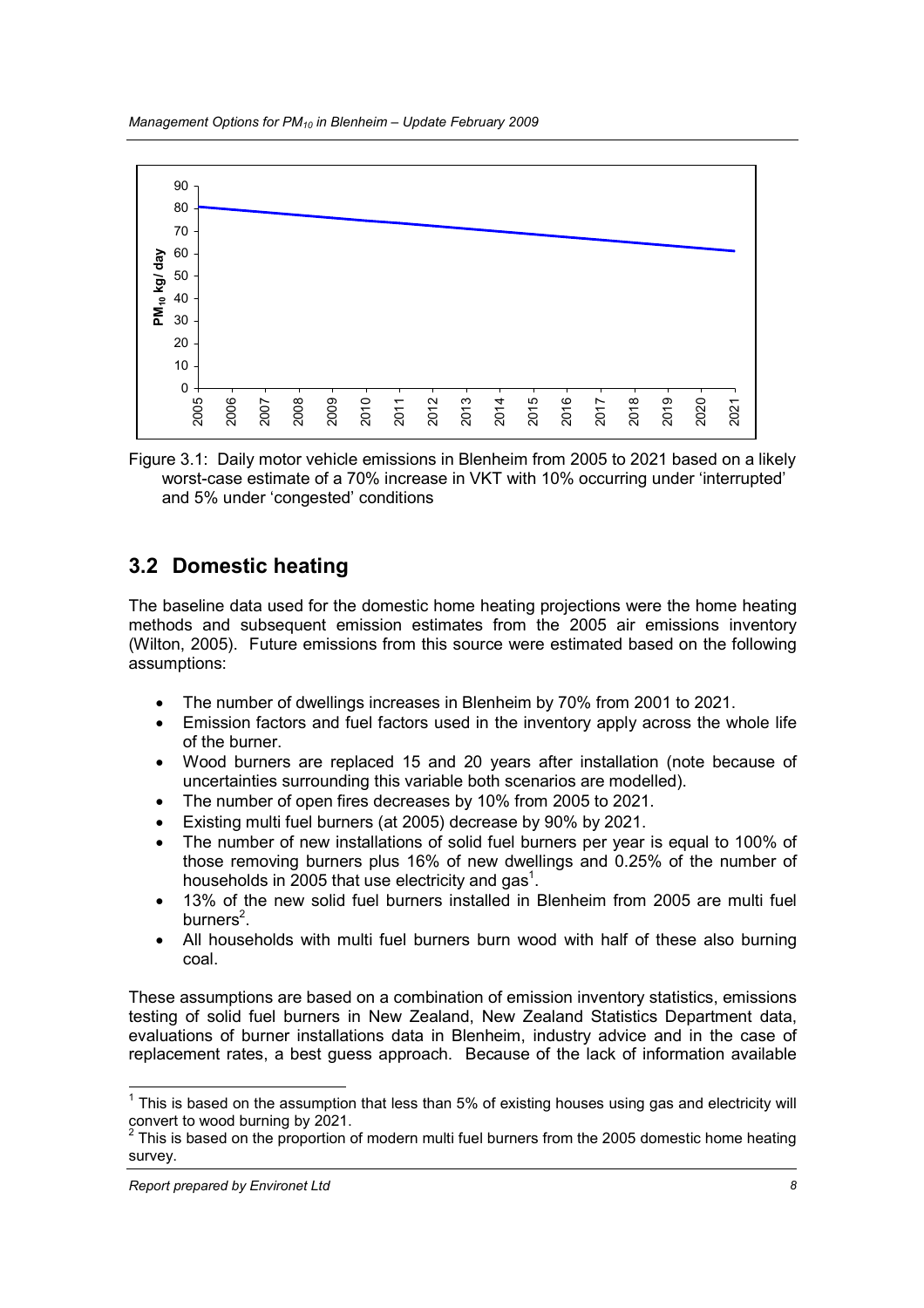

Figure 3.1: Daily motor vehicle emissions in Blenheim from 2005 to 2021 based on a likely worst-case estimate of a 70% increase in VKT with 10% occurring under 'interrupted' and 5% under 'congested' conditions

## 3.2 Domestic heating

The baseline data used for the domestic home heating projections were the home heating methods and subsequent emission estimates from the 2005 air emissions inventory (Wilton, 2005). Future emissions from this source were estimated based on the following assumptions:

- The number of dwellings increases in Blenheim by 70% from 2001 to 2021.
- Emission factors and fuel factors used in the inventory apply across the whole life of the burner.
- Wood burners are replaced 15 and 20 years after installation (note because of uncertainties surrounding this variable both scenarios are modelled).
- The number of open fires decreases by 10% from 2005 to 2021.
- Existing multi fuel burners (at 2005) decrease by 90% by 2021.
- The number of new installations of solid fuel burners per year is equal to 100% of those removing burners plus 16% of new dwellings and 0.25% of the number of households in 2005 that use electricity and gas<sup>1</sup>.
- 13% of the new solid fuel burners installed in Blenheim from 2005 are multi fuel burners<sup>2</sup>.
- All households with multi fuel burners burn wood with half of these also burning coal.

These assumptions are based on a combination of emission inventory statistics, emissions testing of solid fuel burners in New Zealand, New Zealand Statistics Department data, evaluations of burner installations data in Blenheim, industry advice and in the case of replacement rates, a best guess approach. Because of the lack of information available

<sup>————————————————————&</sup>lt;br><sup>1</sup> This is based on the assumption that less than 5% of existing houses using gas and electricity will convert to wood burning by 2021.

<sup>2</sup> This is based on the proportion of modern multi fuel burners from the 2005 domestic home heating survey.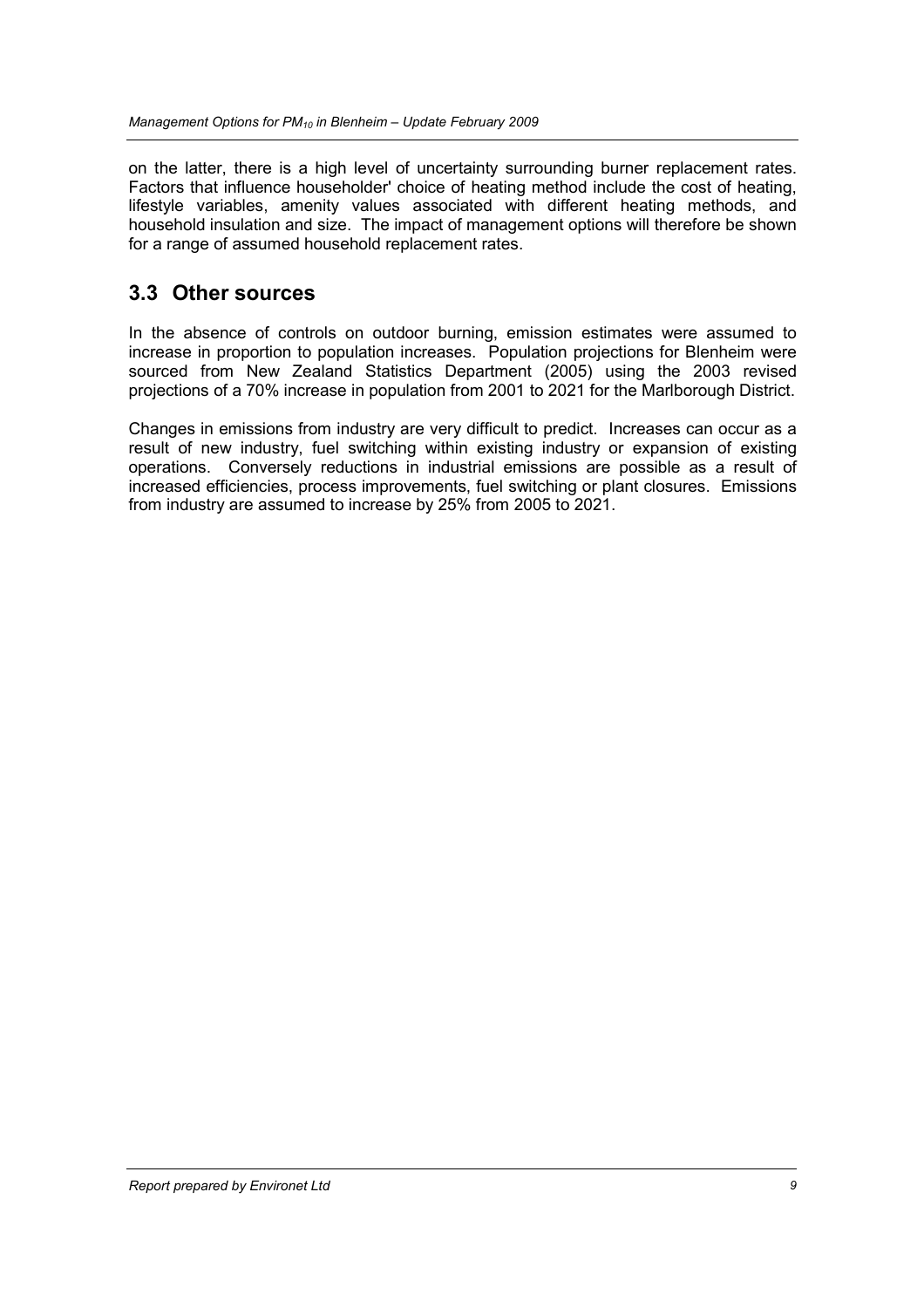on the latter, there is a high level of uncertainty surrounding burner replacement rates. Factors that influence householder' choice of heating method include the cost of heating, lifestyle variables, amenity values associated with different heating methods, and household insulation and size. The impact of management options will therefore be shown for a range of assumed household replacement rates.

#### 3.3 Other sources

In the absence of controls on outdoor burning, emission estimates were assumed to increase in proportion to population increases. Population projections for Blenheim were sourced from New Zealand Statistics Department (2005) using the 2003 revised projections of a 70% increase in population from 2001 to 2021 for the Marlborough District.

Changes in emissions from industry are very difficult to predict. Increases can occur as a result of new industry, fuel switching within existing industry or expansion of existing operations. Conversely reductions in industrial emissions are possible as a result of increased efficiencies, process improvements, fuel switching or plant closures. Emissions from industry are assumed to increase by 25% from 2005 to 2021.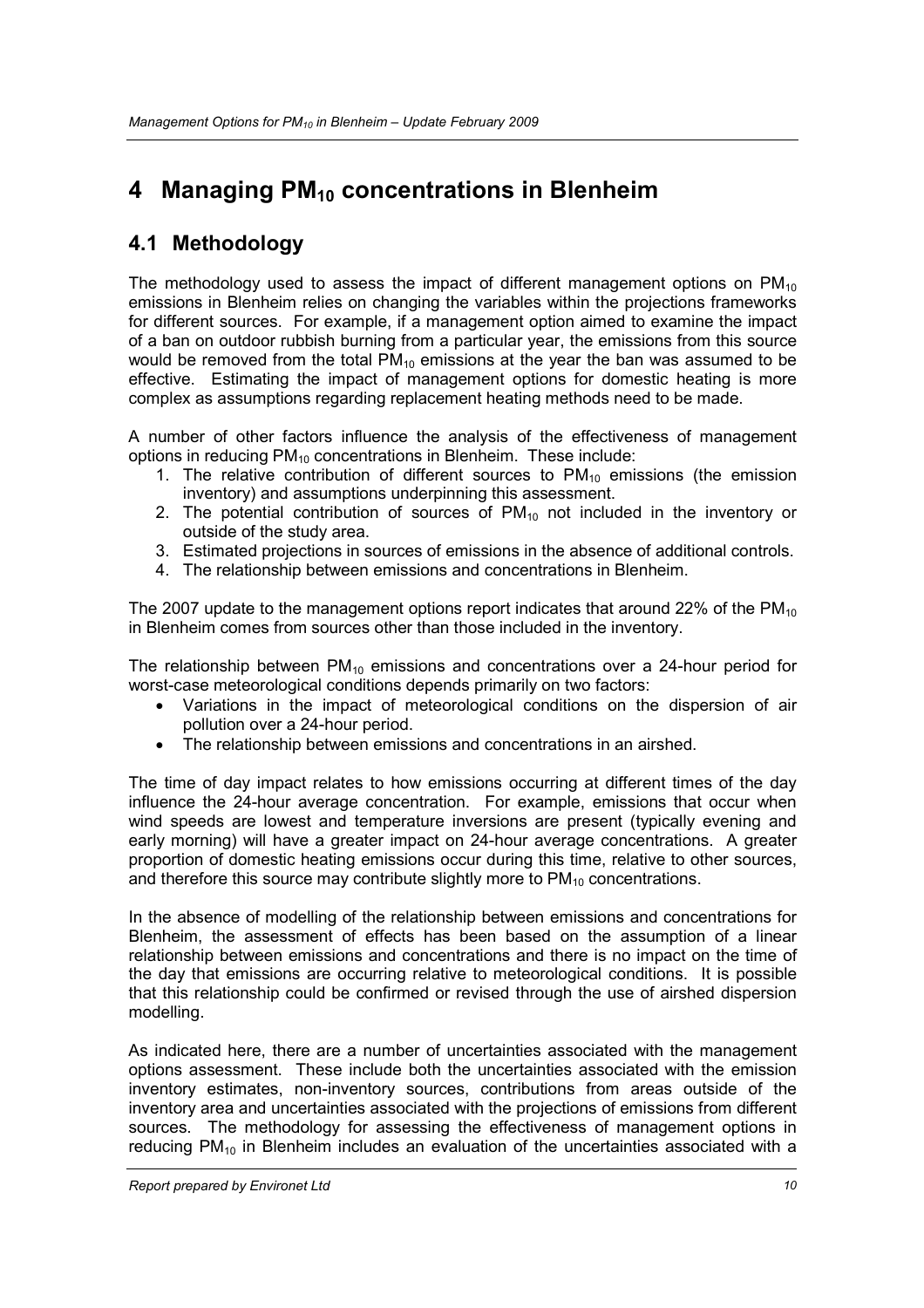# 4 Managing PM<sub>10</sub> concentrations in Blenheim

## 4.1 Methodology

The methodology used to assess the impact of different management options on  $PM_{10}$ emissions in Blenheim relies on changing the variables within the projections frameworks for different sources. For example, if a management option aimed to examine the impact of a ban on outdoor rubbish burning from a particular year, the emissions from this source would be removed from the total  $PM_{10}$  emissions at the year the ban was assumed to be effective. Estimating the impact of management options for domestic heating is more complex as assumptions regarding replacement heating methods need to be made.

A number of other factors influence the analysis of the effectiveness of management options in reducing PM<sub>10</sub> concentrations in Blenheim. These include:

- 1. The relative contribution of different sources to  $PM_{10}$  emissions (the emission inventory) and assumptions underpinning this assessment.
- 2. The potential contribution of sources of  $PM_{10}$  not included in the inventory or outside of the study area.
- 3. Estimated projections in sources of emissions in the absence of additional controls.
- 4. The relationship between emissions and concentrations in Blenheim.

The 2007 update to the management options report indicates that around 22% of the  $PM_{10}$ in Blenheim comes from sources other than those included in the inventory.

The relationship between  $PM_{10}$  emissions and concentrations over a 24-hour period for worst-case meteorological conditions depends primarily on two factors:

- Variations in the impact of meteorological conditions on the dispersion of air pollution over a 24-hour period.
- The relationship between emissions and concentrations in an airshed.

The time of day impact relates to how emissions occurring at different times of the day influence the 24-hour average concentration. For example, emissions that occur when wind speeds are lowest and temperature inversions are present (typically evening and early morning) will have a greater impact on 24-hour average concentrations. A greater proportion of domestic heating emissions occur during this time, relative to other sources, and therefore this source may contribute slightly more to  $PM_{10}$  concentrations.

In the absence of modelling of the relationship between emissions and concentrations for Blenheim, the assessment of effects has been based on the assumption of a linear relationship between emissions and concentrations and there is no impact on the time of the day that emissions are occurring relative to meteorological conditions. It is possible that this relationship could be confirmed or revised through the use of airshed dispersion modelling.

As indicated here, there are a number of uncertainties associated with the management options assessment. These include both the uncertainties associated with the emission inventory estimates, non-inventory sources, contributions from areas outside of the inventory area and uncertainties associated with the projections of emissions from different sources. The methodology for assessing the effectiveness of management options in reducing  $PM_{10}$  in Blenheim includes an evaluation of the uncertainties associated with a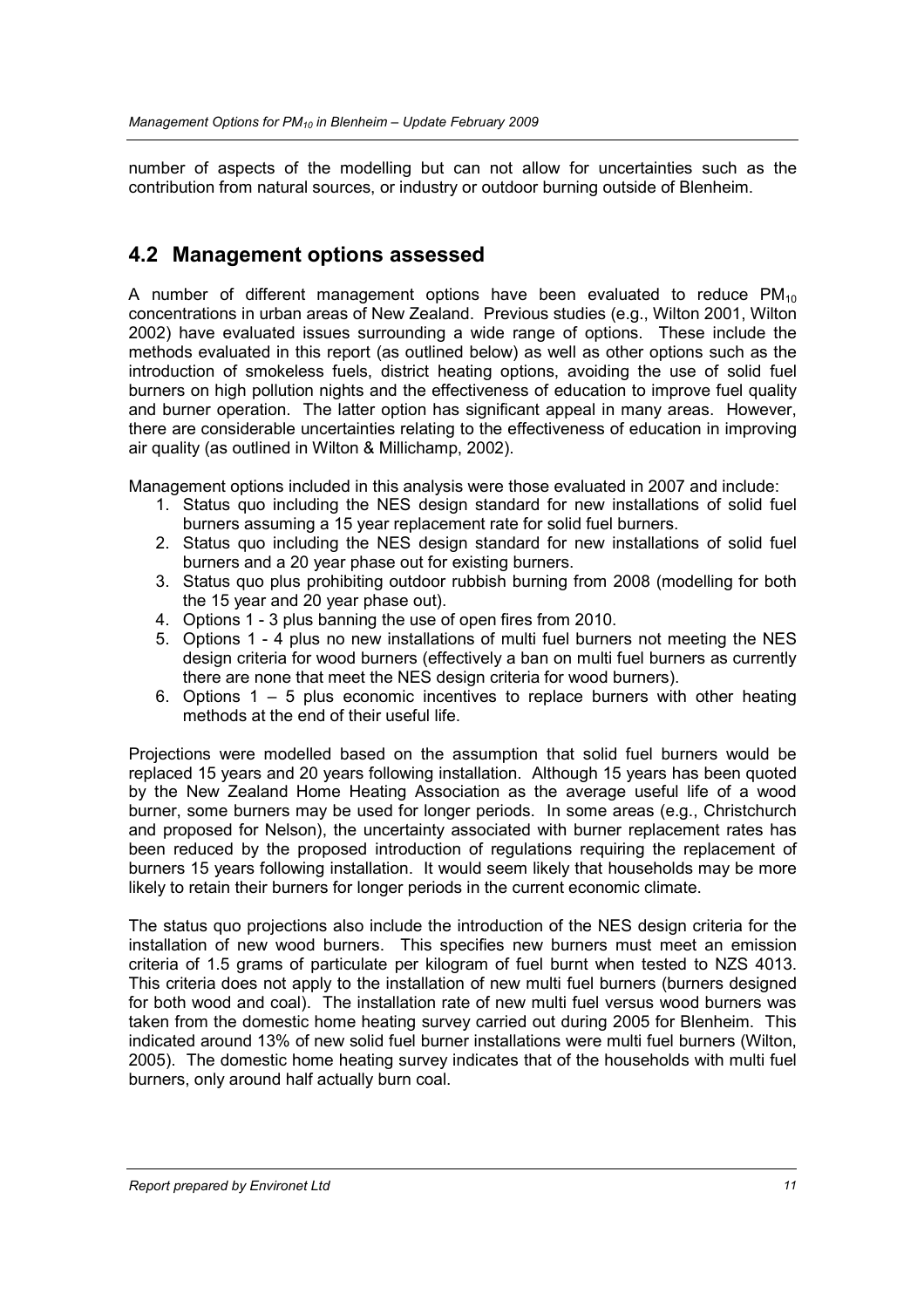number of aspects of the modelling but can not allow for uncertainties such as the contribution from natural sources, or industry or outdoor burning outside of Blenheim.

#### 4.2 Management options assessed

A number of different management options have been evaluated to reduce  $PM_{10}$ concentrations in urban areas of New Zealand. Previous studies (e.g., Wilton 2001, Wilton 2002) have evaluated issues surrounding a wide range of options. These include the methods evaluated in this report (as outlined below) as well as other options such as the introduction of smokeless fuels, district heating options, avoiding the use of solid fuel burners on high pollution nights and the effectiveness of education to improve fuel quality and burner operation. The latter option has significant appeal in many areas. However, there are considerable uncertainties relating to the effectiveness of education in improving air quality (as outlined in Wilton & Millichamp, 2002).

Management options included in this analysis were those evaluated in 2007 and include:

- 1. Status quo including the NES design standard for new installations of solid fuel burners assuming a 15 year replacement rate for solid fuel burners.
- 2. Status quo including the NES design standard for new installations of solid fuel burners and a 20 year phase out for existing burners.
- 3. Status quo plus prohibiting outdoor rubbish burning from 2008 (modelling for both the 15 year and 20 year phase out).
- 4. Options 1 3 plus banning the use of open fires from 2010.
- 5. Options 1 4 plus no new installations of multi fuel burners not meeting the NES design criteria for wood burners (effectively a ban on multi fuel burners as currently there are none that meet the NES design criteria for wood burners).
- 6. Options  $1 5$  plus economic incentives to replace burners with other heating methods at the end of their useful life.

Projections were modelled based on the assumption that solid fuel burners would be replaced 15 years and 20 years following installation. Although 15 years has been quoted by the New Zealand Home Heating Association as the average useful life of a wood burner, some burners may be used for longer periods. In some areas (e.g., Christchurch and proposed for Nelson), the uncertainty associated with burner replacement rates has been reduced by the proposed introduction of regulations requiring the replacement of burners 15 years following installation. It would seem likely that households may be more likely to retain their burners for longer periods in the current economic climate.

The status quo projections also include the introduction of the NES design criteria for the installation of new wood burners. This specifies new burners must meet an emission criteria of 1.5 grams of particulate per kilogram of fuel burnt when tested to NZS 4013. This criteria does not apply to the installation of new multi fuel burners (burners designed for both wood and coal). The installation rate of new multi fuel versus wood burners was taken from the domestic home heating survey carried out during 2005 for Blenheim. This indicated around 13% of new solid fuel burner installations were multi fuel burners (Wilton, 2005). The domestic home heating survey indicates that of the households with multi fuel burners, only around half actually burn coal.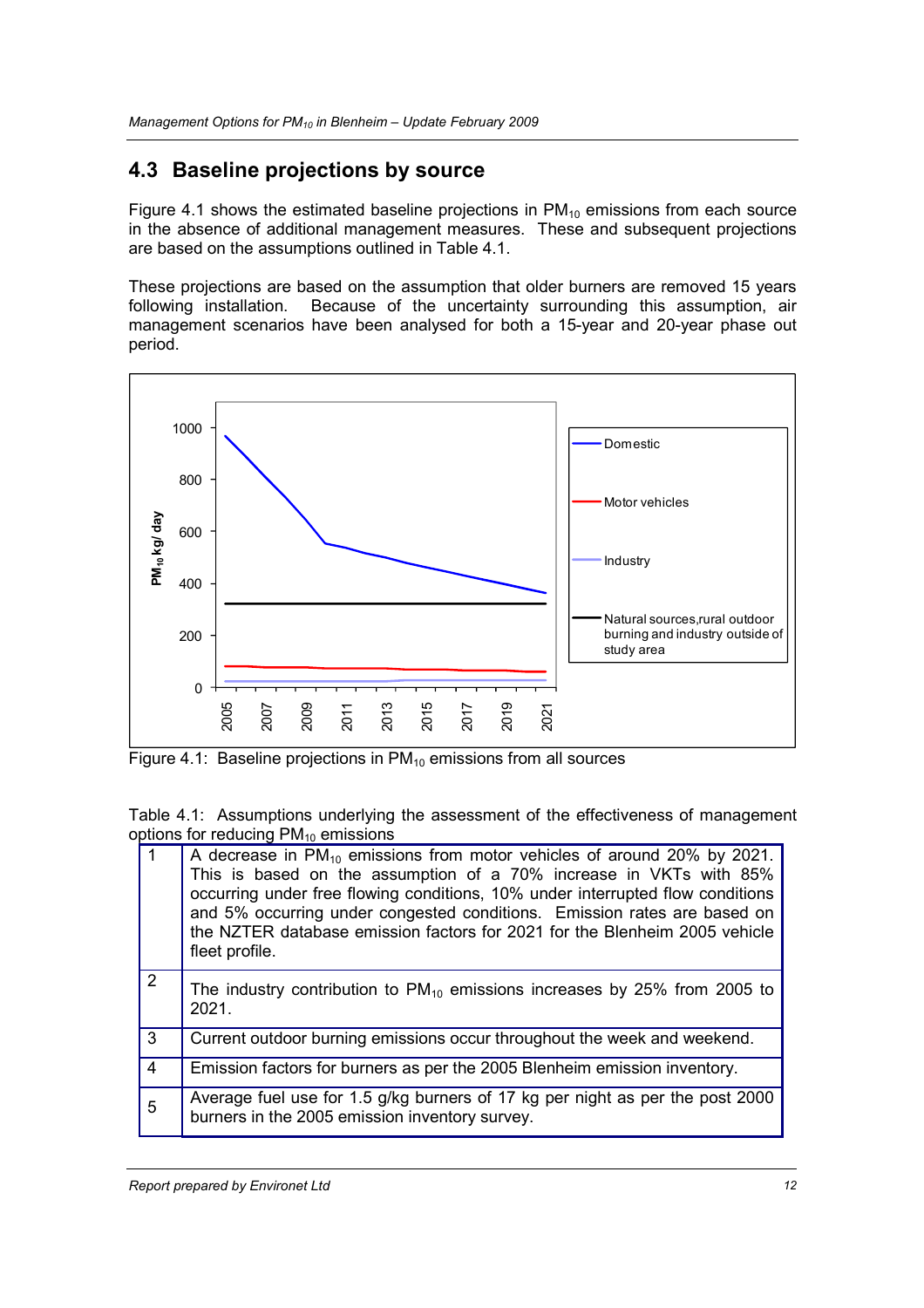#### 4.3 Baseline projections by source

Figure 4.1 shows the estimated baseline projections in  $PM_{10}$  emissions from each source in the absence of additional management measures. These and subsequent projections are based on the assumptions outlined in Table 4.1.

These projections are based on the assumption that older burners are removed 15 years following installation. Because of the uncertainty surrounding this assumption, air Because of the uncertainty surrounding this assumption, air management scenarios have been analysed for both a 15-year and 20-year phase out period.



Figure 4.1: Baseline projections in  $PM_{10}$  emissions from all sources

Table 4.1: Assumptions underlying the assessment of the effectiveness of management options for reducing  $PM_{10}$  emissions

|                         | A decrease in $PM_{10}$ emissions from motor vehicles of around 20% by 2021.<br>This is based on the assumption of a 70% increase in VKTs with 85%<br>occurring under free flowing conditions, 10% under interrupted flow conditions<br>and 5% occurring under congested conditions. Emission rates are based on<br>the NZTER database emission factors for 2021 for the Blenheim 2005 vehicle<br>fleet profile. |
|-------------------------|------------------------------------------------------------------------------------------------------------------------------------------------------------------------------------------------------------------------------------------------------------------------------------------------------------------------------------------------------------------------------------------------------------------|
| $\overline{2}$          | The industry contribution to $PM_{10}$ emissions increases by 25% from 2005 to<br>2021.                                                                                                                                                                                                                                                                                                                          |
| 3                       | Current outdoor burning emissions occur throughout the week and weekend.                                                                                                                                                                                                                                                                                                                                         |
| $\overline{\mathbf{4}}$ | Emission factors for burners as per the 2005 Blenheim emission inventory.                                                                                                                                                                                                                                                                                                                                        |
| 5                       | Average fuel use for 1.5 g/kg burners of 17 kg per night as per the post 2000<br>burners in the 2005 emission inventory survey.                                                                                                                                                                                                                                                                                  |

Report prepared by Environet Ltd 12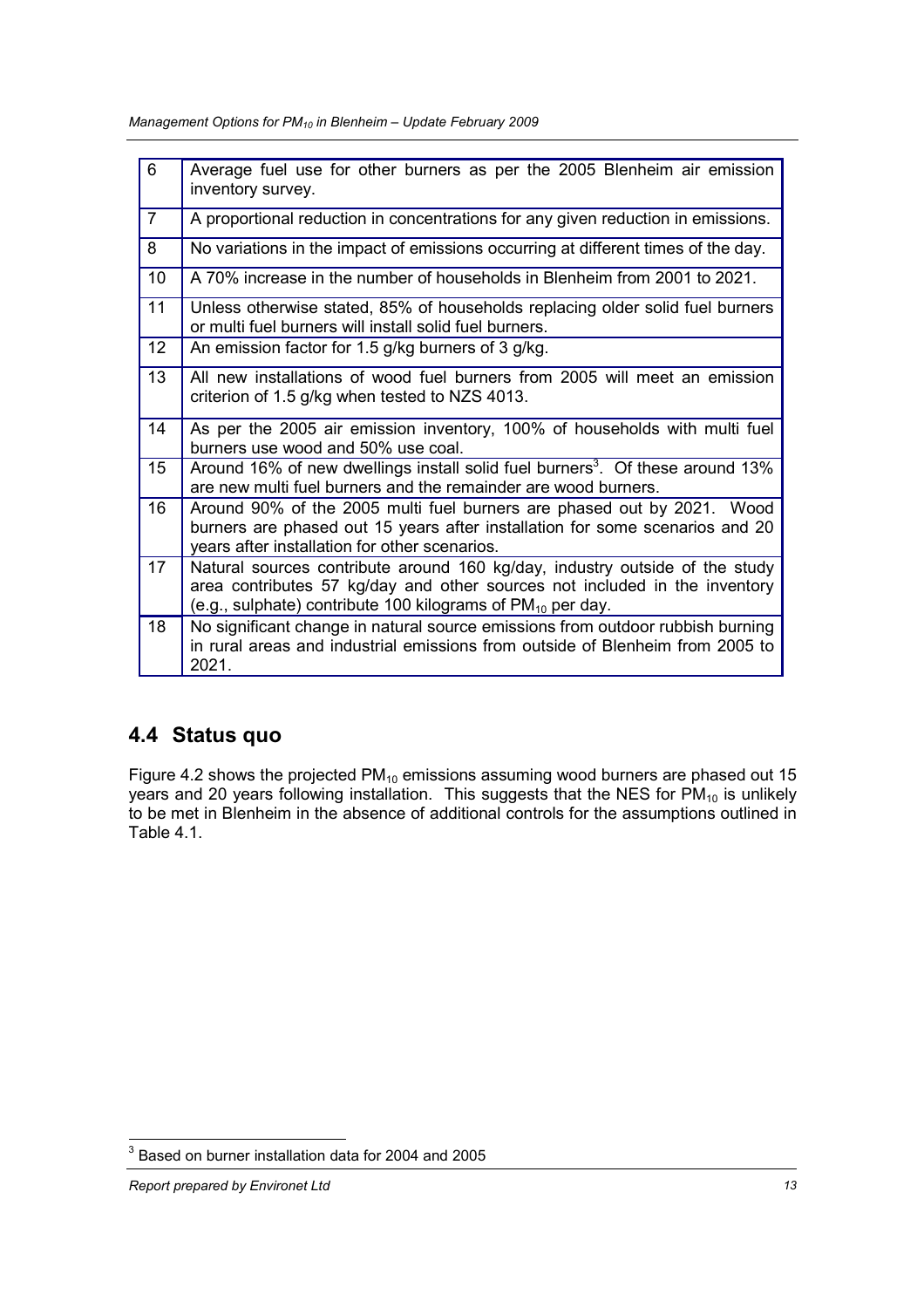Management Options for  $PM_{10}$  in Blenheim – Update February 2009

| $6\phantom{1}6$ | Average fuel use for other burners as per the 2005 Blenheim air emission<br>inventory survey.                                                                                                                                |
|-----------------|------------------------------------------------------------------------------------------------------------------------------------------------------------------------------------------------------------------------------|
| $\overline{7}$  | A proportional reduction in concentrations for any given reduction in emissions.                                                                                                                                             |
| 8               | No variations in the impact of emissions occurring at different times of the day.                                                                                                                                            |
| 10              | A 70% increase in the number of households in Blenheim from 2001 to 2021.                                                                                                                                                    |
| 11              | Unless otherwise stated, 85% of households replacing older solid fuel burners<br>or multi fuel burners will install solid fuel burners.                                                                                      |
| 12              | An emission factor for 1.5 g/kg burners of 3 g/kg.                                                                                                                                                                           |
| 13              | All new installations of wood fuel burners from 2005 will meet an emission<br>criterion of 1.5 g/kg when tested to NZS 4013.                                                                                                 |
| 14              | As per the 2005 air emission inventory, 100% of households with multi fuel<br>burners use wood and 50% use coal.                                                                                                             |
| 15              | Around 16% of new dwellings install solid fuel burners <sup>3</sup> . Of these around 13%<br>are new multi fuel burners and the remainder are wood burners.                                                                  |
| 16              | Around 90% of the 2005 multi fuel burners are phased out by 2021. Wood<br>burners are phased out 15 years after installation for some scenarios and 20<br>years after installation for other scenarios.                      |
| 17              | Natural sources contribute around 160 kg/day, industry outside of the study<br>area contributes 57 kg/day and other sources not included in the inventory<br>(e.g., sulphate) contribute 100 kilograms of $PM_{10}$ per day. |
| 18              | No significant change in natural source emissions from outdoor rubbish burning<br>in rural areas and industrial emissions from outside of Blenheim from 2005 to<br>2021.                                                     |

### 4.4 Status quo

Figure 4.2 shows the projected  $PM_{10}$  emissions assuming wood burners are phased out 15 years and 20 years following installation. This suggests that the NES for PM<sub>10</sub> is unlikely to be met in Blenheim in the absence of additional controls for the assumptions outlined in Table 4.1.

 3 Based on burner installation data for 2004 and 2005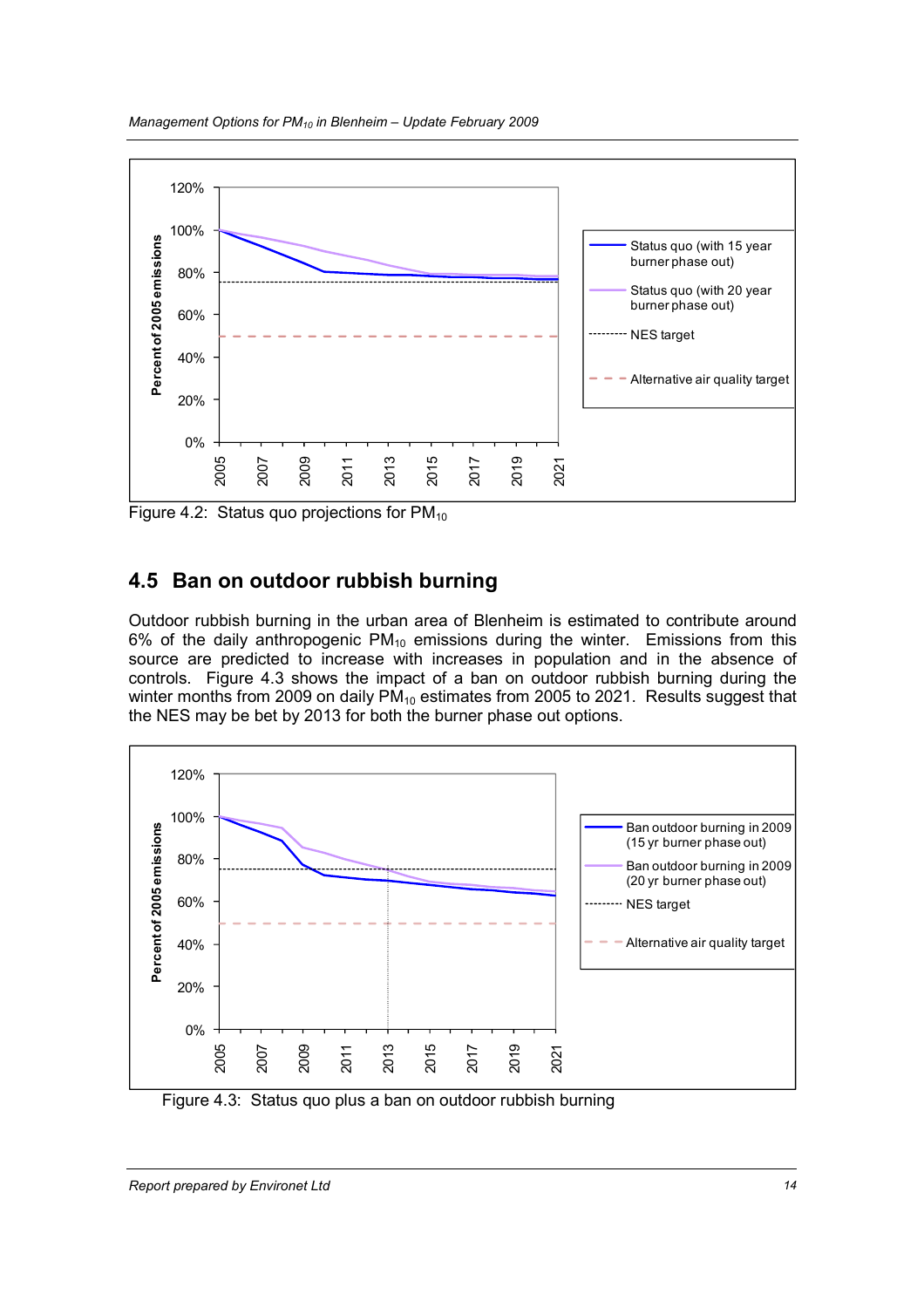

Figure 4.2: Status quo projections for  $PM_{10}$ 

## 4.5 Ban on outdoor rubbish burning

Outdoor rubbish burning in the urban area of Blenheim is estimated to contribute around 6% of the daily anthropogenic  $PM_{10}$  emissions during the winter. Emissions from this source are predicted to increase with increases in population and in the absence of controls. Figure 4.3 shows the impact of a ban on outdoor rubbish burning during the winter months from 2009 on daily  $PM_{10}$  estimates from 2005 to 2021. Results suggest that the NES may be bet by 2013 for both the burner phase out options.



Figure 4.3: Status quo plus a ban on outdoor rubbish burning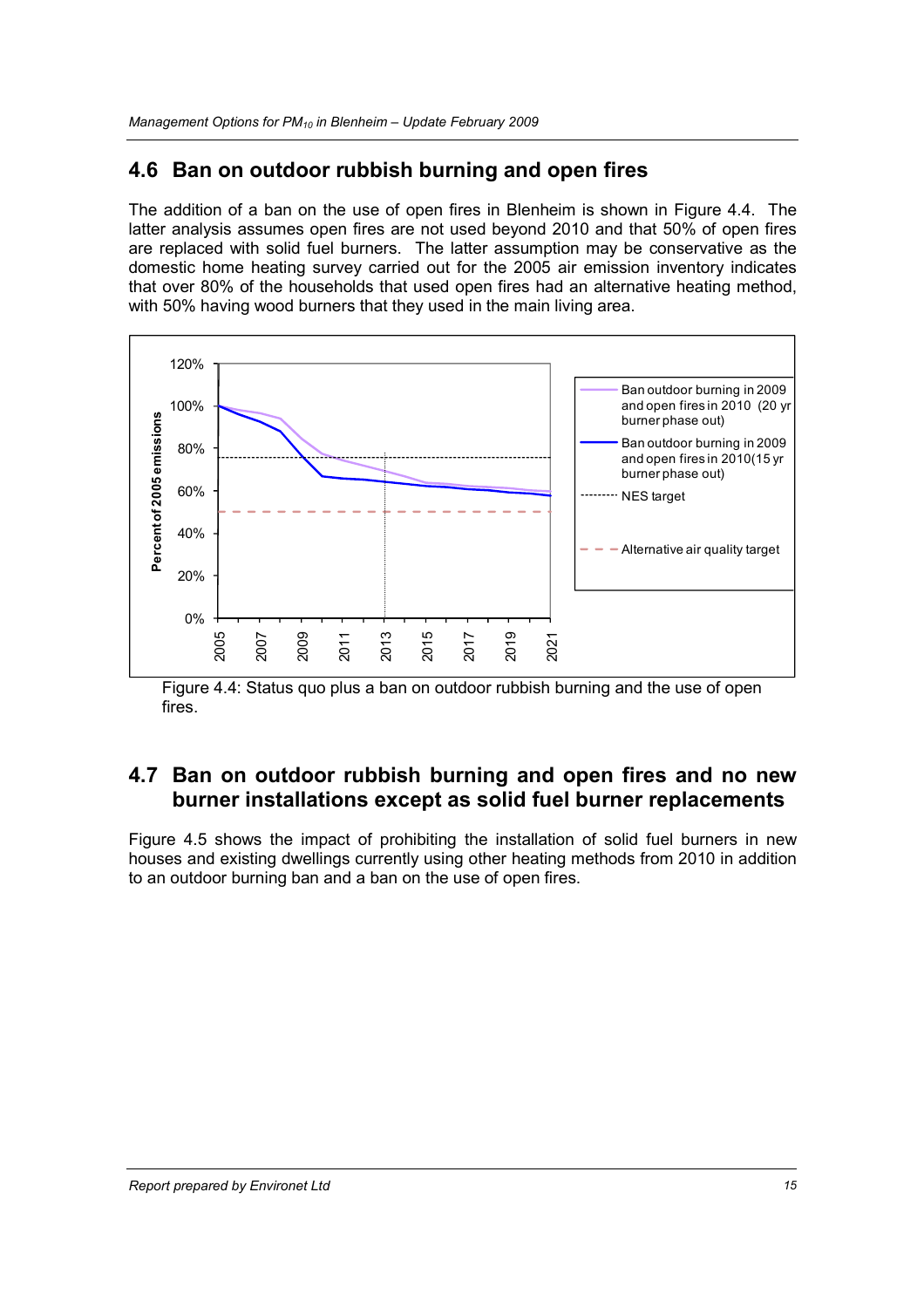#### 4.6 Ban on outdoor rubbish burning and open fires

The addition of a ban on the use of open fires in Blenheim is shown in Figure 4.4. The latter analysis assumes open fires are not used beyond 2010 and that 50% of open fires are replaced with solid fuel burners. The latter assumption may be conservative as the domestic home heating survey carried out for the 2005 air emission inventory indicates that over 80% of the households that used open fires had an alternative heating method, with 50% having wood burners that they used in the main living area.



Figure 4.4: Status quo plus a ban on outdoor rubbish burning and the use of open fires.

#### 4.7 Ban on outdoor rubbish burning and open fires and no new burner installations except as solid fuel burner replacements

Figure 4.5 shows the impact of prohibiting the installation of solid fuel burners in new houses and existing dwellings currently using other heating methods from 2010 in addition to an outdoor burning ban and a ban on the use of open fires.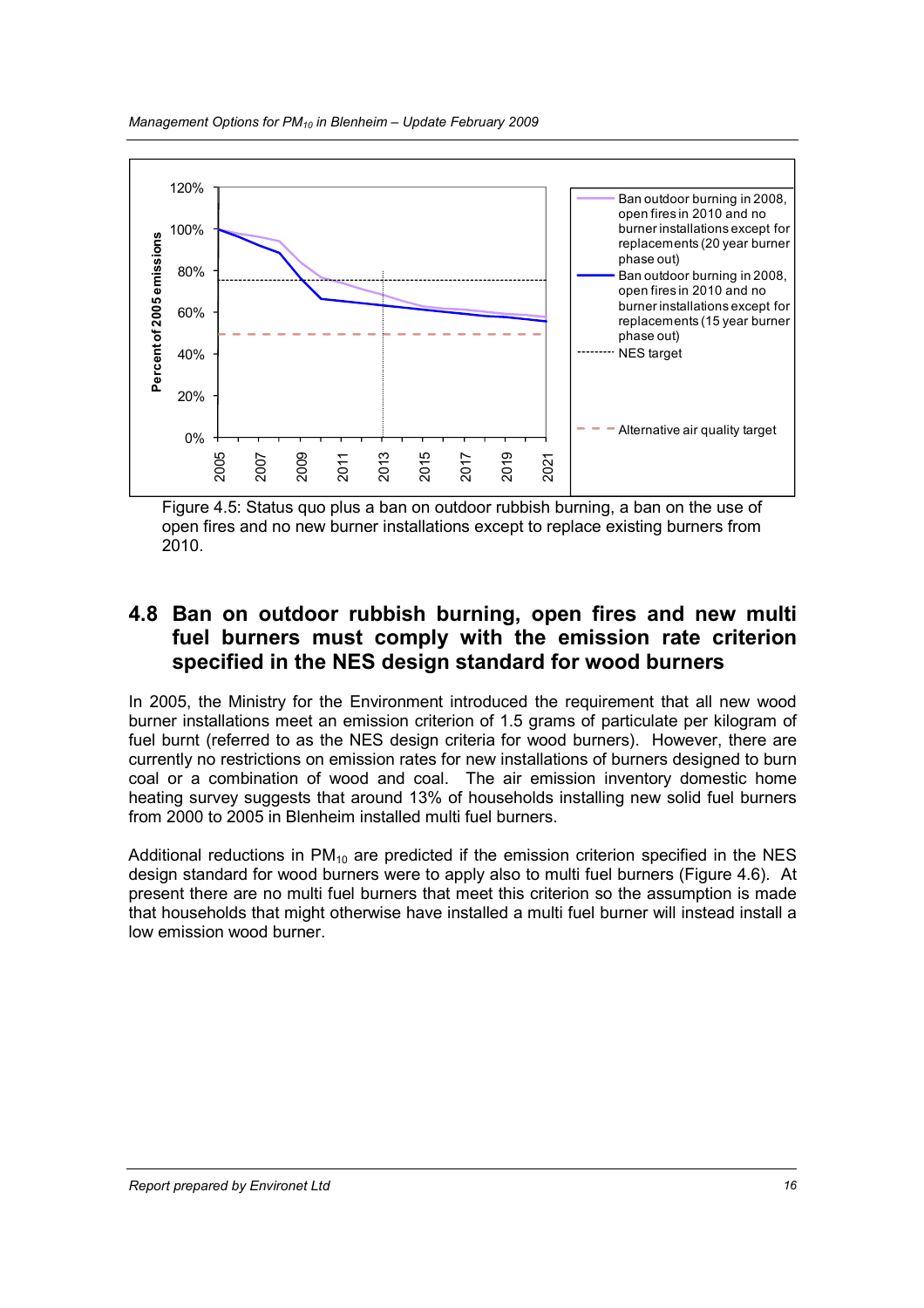

Figure 4.5: Status quo plus a ban on outdoor rubbish burning, a ban on the use of open fires and no new burner installations except to replace existing burners from 2010.

#### 4.8 Ban on outdoor rubbish burning, open fires and new multi fuel burners must comply with the emission rate criterion specified in the NES design standard for wood burners

In 2005, the Ministry for the Environment introduced the requirement that all new wood burner installations meet an emission criterion of 1.5 grams of particulate per kilogram of fuel burnt (referred to as the NES design criteria for wood burners). However, there are currently no restrictions on emission rates for new installations of burners designed to burn coal or a combination of wood and coal. The air emission inventory domestic home heating survey suggests that around 13% of households installing new solid fuel burners from 2000 to 2005 in Blenheim installed multi fuel burners.

Additional reductions in  $PM_{10}$  are predicted if the emission criterion specified in the NES design standard for wood burners were to apply also to multi fuel burners (Figure 4.6). At present there are no multi fuel burners that meet this criterion so the assumption is made that households that might otherwise have installed a multi fuel burner will instead install a low emission wood burner.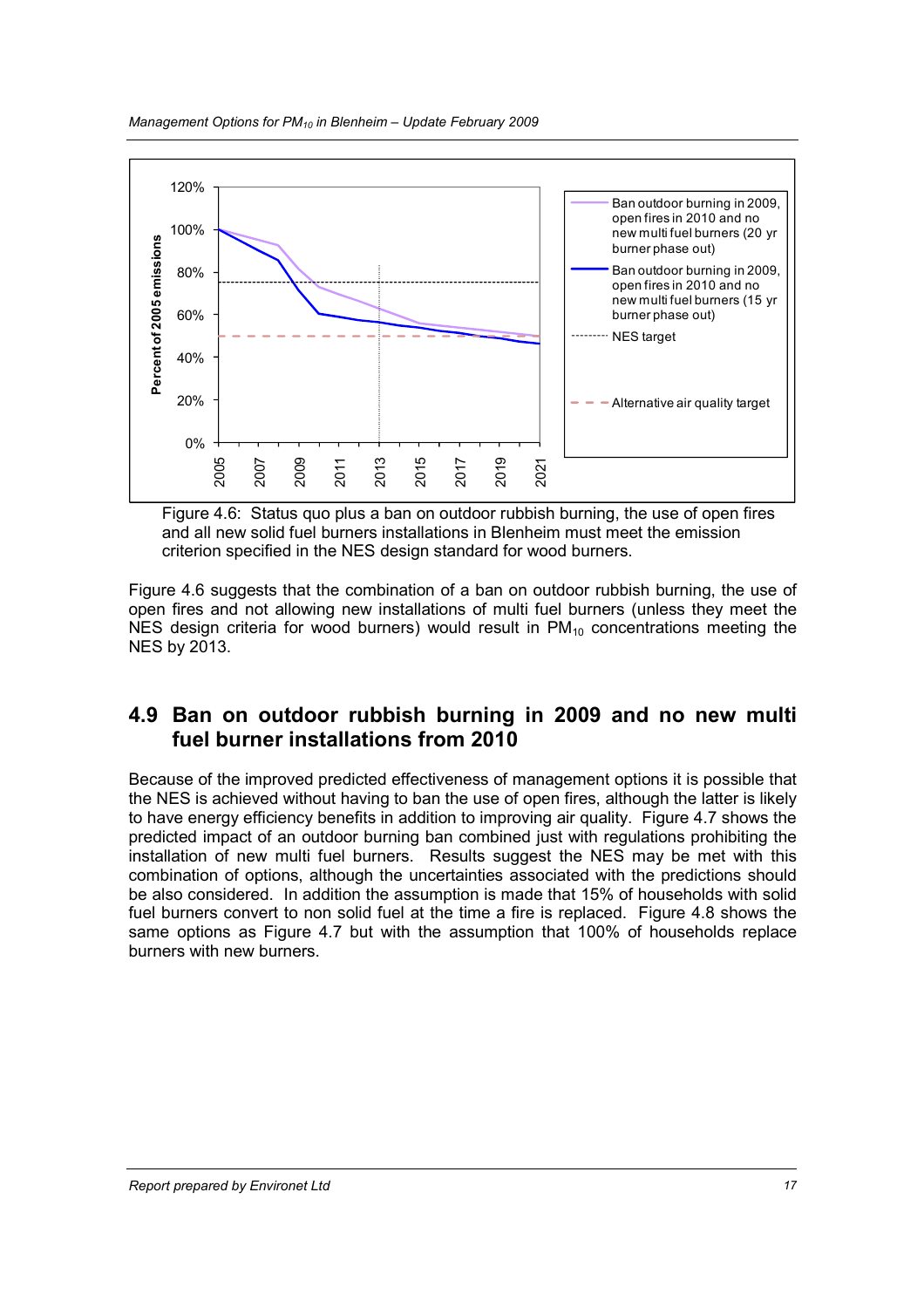

Figure 4.6: Status quo plus a ban on outdoor rubbish burning, the use of open fires and all new solid fuel burners installations in Blenheim must meet the emission criterion specified in the NES design standard for wood burners.

Figure 4.6 suggests that the combination of a ban on outdoor rubbish burning, the use of open fires and not allowing new installations of multi fuel burners (unless they meet the NES design criteria for wood burners) would result in  $PM_{10}$  concentrations meeting the NES by 2013.

#### 4.9 Ban on outdoor rubbish burning in 2009 and no new multi fuel burner installations from 2010

Because of the improved predicted effectiveness of management options it is possible that the NES is achieved without having to ban the use of open fires, although the latter is likely to have energy efficiency benefits in addition to improving air quality. Figure 4.7 shows the predicted impact of an outdoor burning ban combined just with regulations prohibiting the installation of new multi fuel burners. Results suggest the NES may be met with this combination of options, although the uncertainties associated with the predictions should be also considered. In addition the assumption is made that 15% of households with solid fuel burners convert to non solid fuel at the time a fire is replaced. Figure 4.8 shows the same options as Figure 4.7 but with the assumption that 100% of households replace burners with new burners.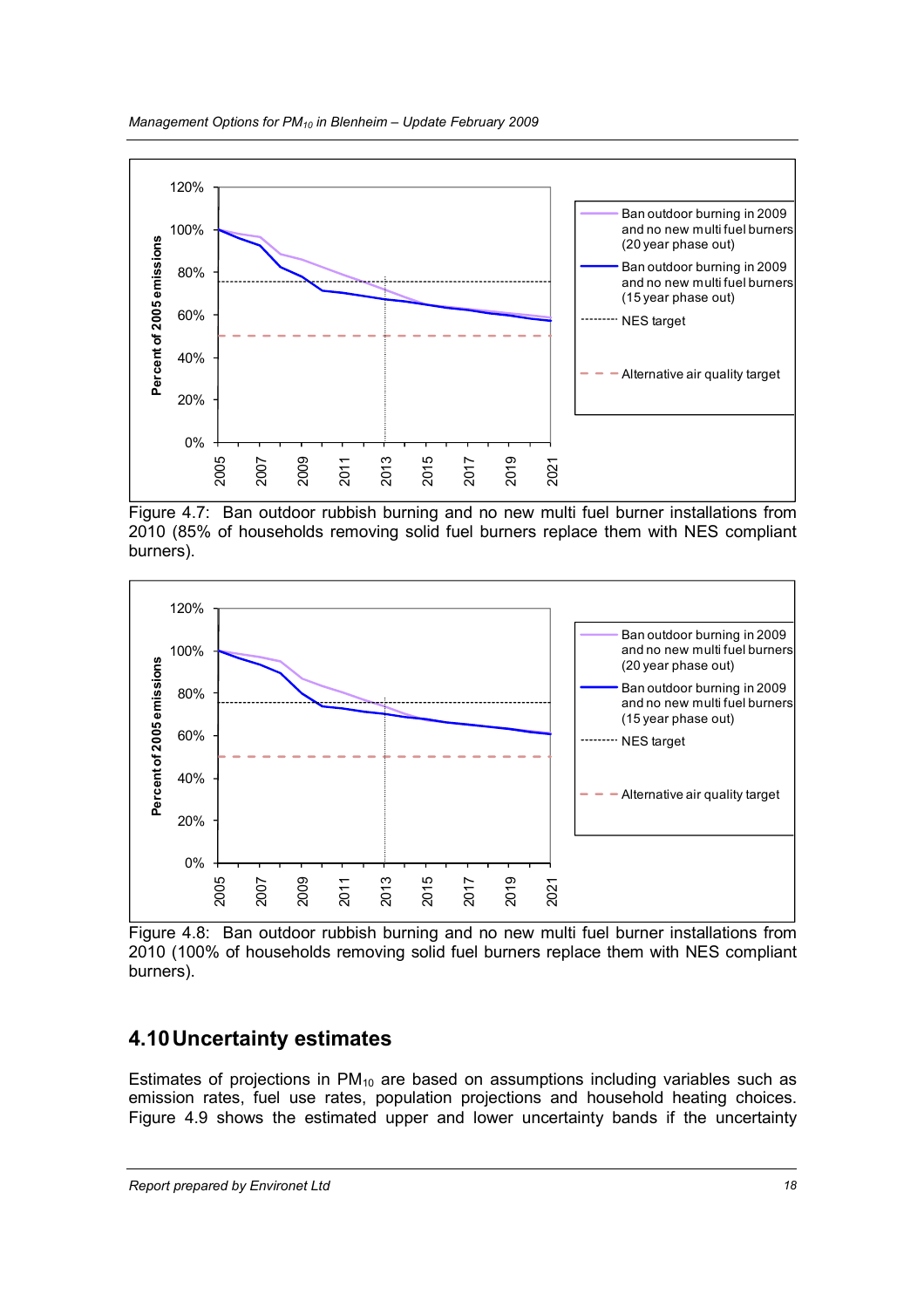

Figure 4.7: Ban outdoor rubbish burning and no new multi fuel burner installations from 2010 (85% of households removing solid fuel burners replace them with NES compliant burners).



Figure 4.8: Ban outdoor rubbish burning and no new multi fuel burner installations from 2010 (100% of households removing solid fuel burners replace them with NES compliant burners).

## 4.10 Uncertainty estimates

Estimates of projections in  $PM_{10}$  are based on assumptions including variables such as emission rates, fuel use rates, population projections and household heating choices. Figure 4.9 shows the estimated upper and lower uncertainty bands if the uncertainty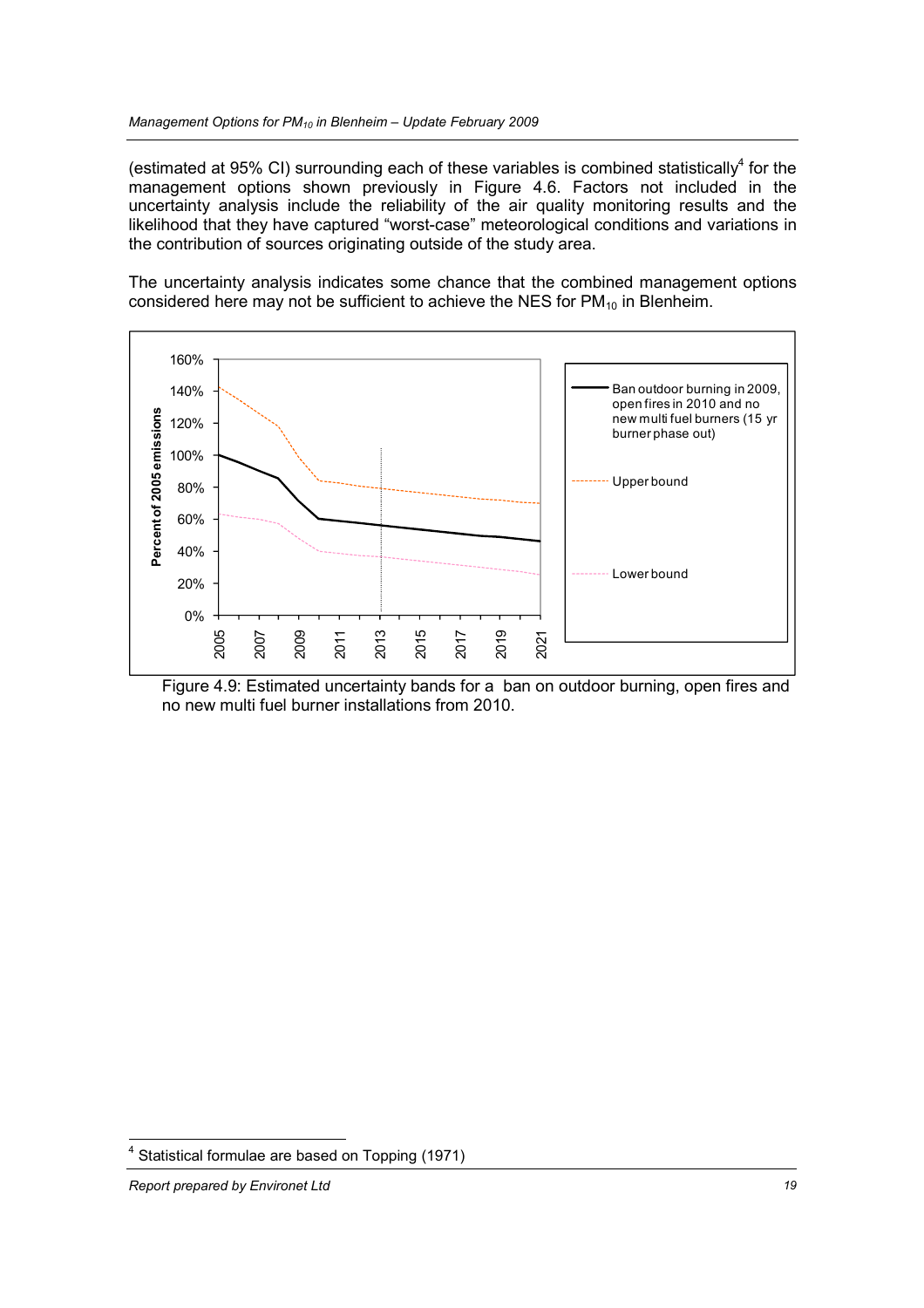(estimated at 95% CI) surrounding each of these variables is combined statistically<sup>4</sup> for the management options shown previously in Figure 4.6. Factors not included in the uncertainty analysis include the reliability of the air quality monitoring results and the likelihood that they have captured "worst-case" meteorological conditions and variations in the contribution of sources originating outside of the study area.

The uncertainty analysis indicates some chance that the combined management options considered here may not be sufficient to achieve the NES for  $PM_{10}$  in Blenheim.



Figure 4.9: Estimated uncertainty bands for a ban on outdoor burning, open fires and no new multi fuel burner installations from 2010.

<sup>-&</sup>lt;br><sup>4</sup> Statistical formulae are based on Topping (1971)

Report prepared by Environet Ltd 19 and 19 and 19 and 19 and 19 and 19 and 19 and 19 and 19 and 19 and 19 and 19 and 19 and 19 and 19 and 19 and 19 and 19 and 19 and 19 and 19 and 19 and 19 and 19 and 19 and 19 and 19 and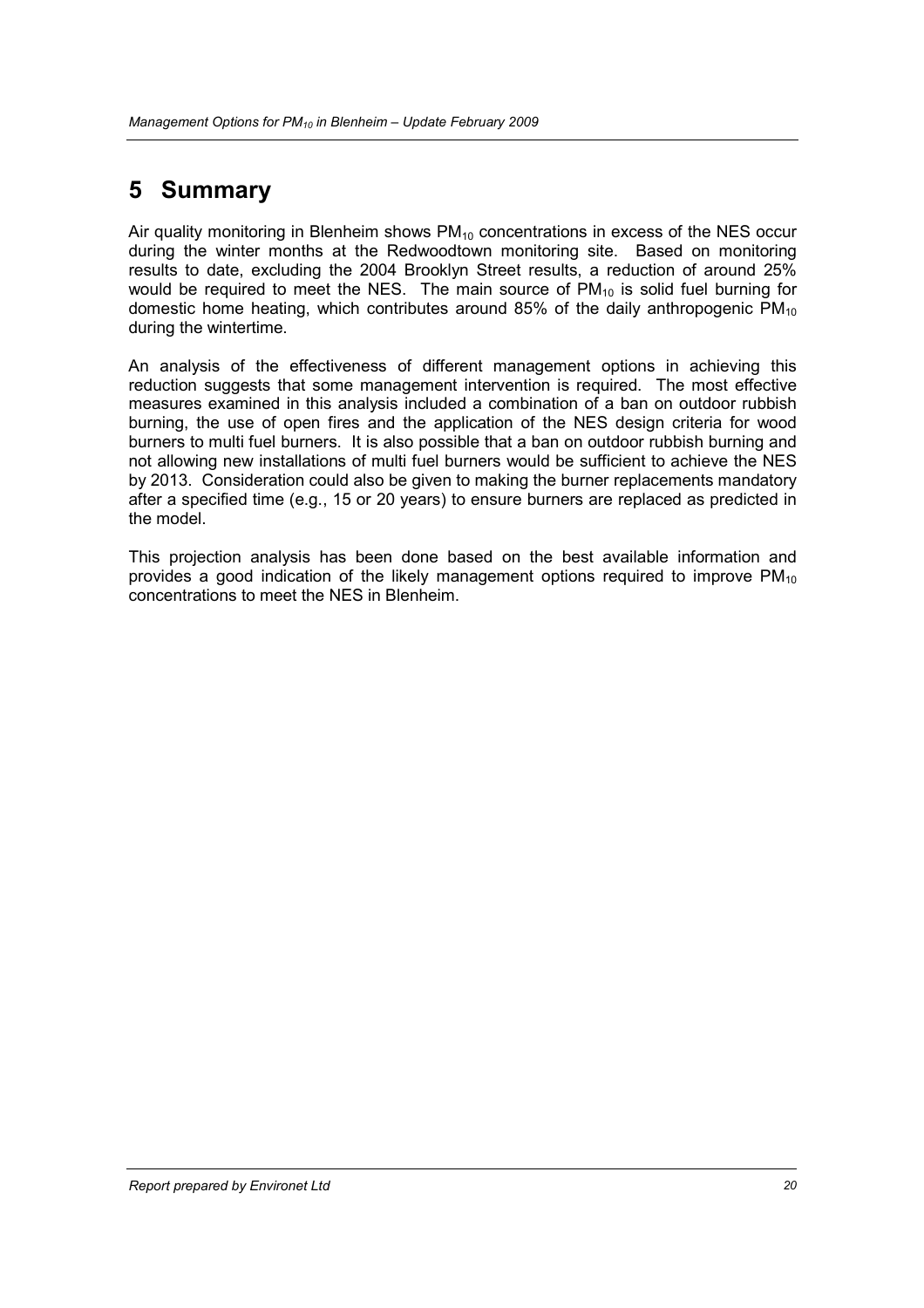# 5 Summary

Air quality monitoring in Blenheim shows  $PM_{10}$  concentrations in excess of the NES occur during the winter months at the Redwoodtown monitoring site. Based on monitoring results to date, excluding the 2004 Brooklyn Street results, a reduction of around 25% would be required to meet the NES. The main source of  $PM_{10}$  is solid fuel burning for domestic home heating, which contributes around 85% of the daily anthropogenic  $PM_{10}$ during the wintertime.

An analysis of the effectiveness of different management options in achieving this reduction suggests that some management intervention is required. The most effective measures examined in this analysis included a combination of a ban on outdoor rubbish burning, the use of open fires and the application of the NES design criteria for wood burners to multi fuel burners. It is also possible that a ban on outdoor rubbish burning and not allowing new installations of multi fuel burners would be sufficient to achieve the NES by 2013. Consideration could also be given to making the burner replacements mandatory after a specified time (e.g., 15 or 20 years) to ensure burners are replaced as predicted in the model.

This projection analysis has been done based on the best available information and provides a good indication of the likely management options required to improve  $PM_{10}$ concentrations to meet the NES in Blenheim.